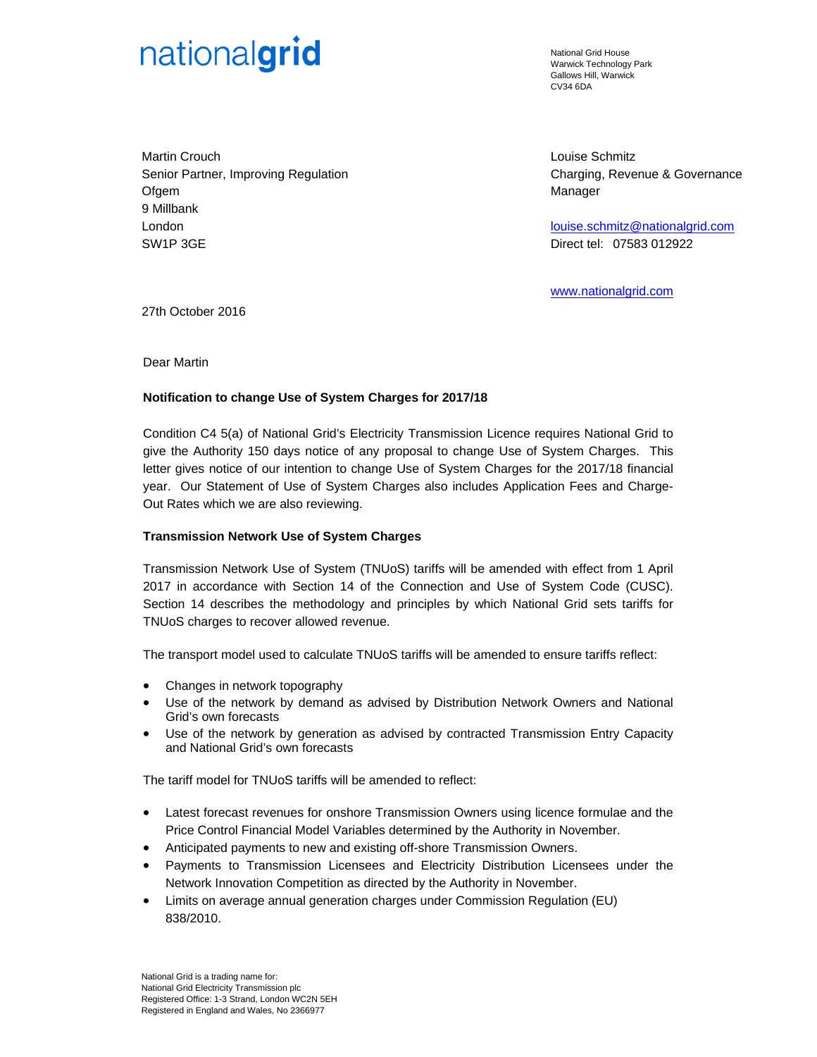# nationalgrid

National Grid House Warwick Technology Park Gallows Hill, Warwick CV34 6DA

Martin Crouch Senior Partner, Improving Regulation **Ofgem** 9 Millbank London SW1P 3GE

Louise Schmitz Charging, Revenue & Governance Manager

louise.schmitz@nationalgrid.com Direct tel: 07583 012922

www.nationalgrid.com

27th October 2016

Dear Martin

## **Notification to change Use of System Charges for 2017/18**

Condition C4 5(a) of National Grid's Electricity Transmission Licence requires National Grid to give the Authority 150 days notice of any proposal to change Use of System Charges. This letter gives notice of our intention to change Use of System Charges for the 2017/18 financial year. Our Statement of Use of System Charges also includes Application Fees and Charge-Out Rates which we are also reviewing.

## **Transmission Network Use of System Charges**

Transmission Network Use of System (TNUoS) tariffs will be amended with effect from 1 April 2017 in accordance with Section 14 of the Connection and Use of System Code (CUSC). Section 14 describes the methodology and principles by which National Grid sets tariffs for TNUoS charges to recover allowed revenue.

The transport model used to calculate TNUoS tariffs will be amended to ensure tariffs reflect:

- Changes in network topography
- Use of the network by demand as advised by Distribution Network Owners and National Grid's own forecasts
- Use of the network by generation as advised by contracted Transmission Entry Capacity and National Grid's own forecasts

The tariff model for TNUoS tariffs will be amended to reflect:

- Latest forecast revenues for onshore Transmission Owners using licence formulae and the Price Control Financial Model Variables determined by the Authority in November.
- Anticipated payments to new and existing off-shore Transmission Owners.
- Payments to Transmission Licensees and Electricity Distribution Licensees under the Network Innovation Competition as directed by the Authority in November.
- Limits on average annual generation charges under Commission Regulation (EU) 838/2010.